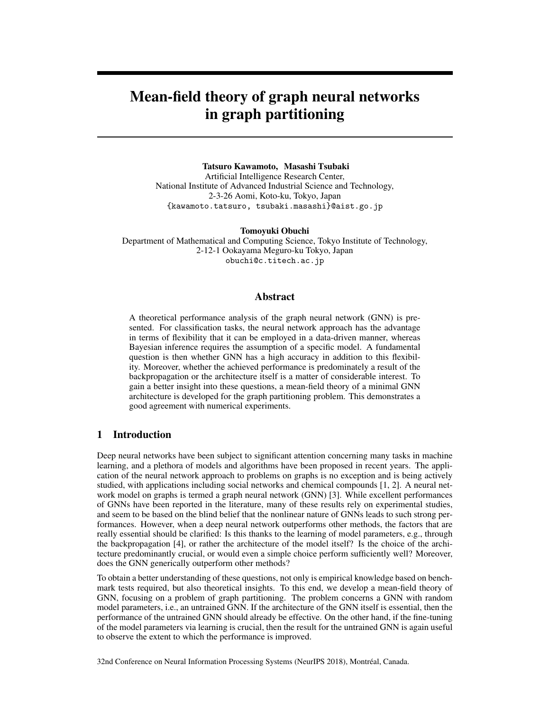# Mean-field theory of graph neural networks in graph partitioning

#### Tatsuro Kawamoto, Masashi Tsubaki

Artificial Intelligence Research Center, National Institute of Advanced Industrial Science and Technology, 2-3-26 Aomi, Koto-ku, Tokyo, Japan {kawamoto.tatsuro, tsubaki.masashi}@aist.go.jp

Tomoyuki Obuchi

Department of Mathematical and Computing Science, Tokyo Institute of Technology, 2-12-1 Ookayama Meguro-ku Tokyo, Japan obuchi@c.titech.ac.jp

## Abstract

A theoretical performance analysis of the graph neural network (GNN) is presented. For classification tasks, the neural network approach has the advantage in terms of flexibility that it can be employed in a data-driven manner, whereas Bayesian inference requires the assumption of a specific model. A fundamental question is then whether GNN has a high accuracy in addition to this flexibility. Moreover, whether the achieved performance is predominately a result of the backpropagation or the architecture itself is a matter of considerable interest. To gain a better insight into these questions, a mean-field theory of a minimal GNN architecture is developed for the graph partitioning problem. This demonstrates a good agreement with numerical experiments.

# 1 Introduction

Deep neural networks have been subject to significant attention concerning many tasks in machine learning, and a plethora of models and algorithms have been proposed in recent years. The application of the neural network approach to problems on graphs is no exception and is being actively studied, with applications including social networks and chemical compounds [1, 2]. A neural network model on graphs is termed a graph neural network (GNN) [3]. While excellent performances of GNNs have been reported in the literature, many of these results rely on experimental studies, and seem to be based on the blind belief that the nonlinear nature of GNNs leads to such strong performances. However, when a deep neural network outperforms other methods, the factors that are really essential should be clarified: Is this thanks to the learning of model parameters, e.g., through the backpropagation [4], or rather the architecture of the model itself? Is the choice of the architecture predominantly crucial, or would even a simple choice perform sufficiently well? Moreover, does the GNN generically outperform other methods?

To obtain a better understanding of these questions, not only is empirical knowledge based on benchmark tests required, but also theoretical insights. To this end, we develop a mean-field theory of GNN, focusing on a problem of graph partitioning. The problem concerns a GNN with random model parameters, i.e., an untrained GNN. If the architecture of the GNN itself is essential, then the performance of the untrained GNN should already be effective. On the other hand, if the fine-tuning of the model parameters via learning is crucial, then the result for the untrained GNN is again useful to observe the extent to which the performance is improved.

32nd Conference on Neural Information Processing Systems (NeurIPS 2018), Montréal, Canada.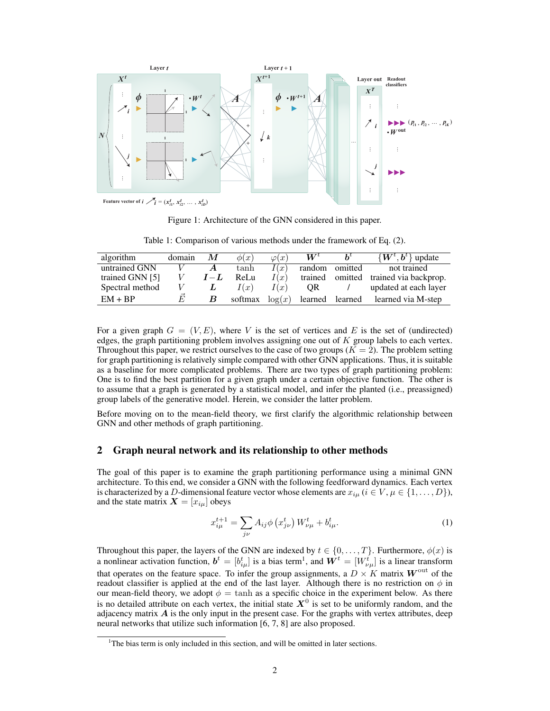

Figure 1: Architecture of the GNN considered in this paper.

Table 1: Comparison of various methods under the framework of Eq. (2).

| algorithm       | domain | М       | $\phi(x)$ | $\varphi(x)$ | $\boldsymbol{W}^{t}$ | $h^{\iota}$ | $\{W^t, b^t\}$ update         |
|-----------------|--------|---------|-----------|--------------|----------------------|-------------|-------------------------------|
| untrained GNN   |        | A       | tanh      | I(x)         | random               | omitted     | not trained                   |
| trained GNN [5] | V      | $I - L$ | ReLu      | I(x)         | trained              |             | omitted trained via backprop. |
| Spectral method |        |         | I(x)      | I(x)         | OR.                  |             | updated at each layer         |
| $EM + BP$       | E      | B       | softmax   | $\log(x)$    | learned              | learned     | learned via M-step            |

For a given graph  $G = (V, E)$ , where V is the set of vertices and E is the set of (undirected) edges, the graph partitioning problem involves assigning one out of *K* group labels to each vertex. Throughout this paper, we restrict ourselves to the case of two groups  $(K = 2)$ . The problem setting for graph partitioning is relatively simple compared with other GNN applications. Thus, it is suitable as a baseline for more complicated problems. There are two types of graph partitioning problem: One is to find the best partition for a given graph under a certain objective function. The other is to assume that a graph is generated by a statistical model, and infer the planted (i.e., preassigned) group labels of the generative model. Herein, we consider the latter problem.

Before moving on to the mean-field theory, we first clarify the algorithmic relationship between GNN and other methods of graph partitioning.

## 2 Graph neural network and its relationship to other methods

The goal of this paper is to examine the graph partitioning performance using a minimal GNN architecture. To this end, we consider a GNN with the following feedforward dynamics. Each vertex is characterized by a *D*-dimensional feature vector whose elements are  $x_{i\mu}$  ( $i \in V, \mu \in \{1, \dots, D\}$ ), and the state matrix  $\mathbf{X} = [x_{i\mu}]$  obeys

$$
x_{i\mu}^{t+1} = \sum_{j\nu} A_{ij} \phi \left( x_{j\nu}^t \right) W_{\nu\mu}^t + b_{i\mu}^t. \tag{1}
$$

Throughout this paper, the layers of the GNN are indexed by  $t \in \{0, \ldots, T\}$ . Furthermore,  $\phi(x)$  is a nonlinear activation function,  $\mathbf{b}^t = [b^t_{i\mu}]$  is a bias term<sup>1</sup>, and  $\mathbf{W}^t = [W^t_{\nu\mu}]$  is a linear transform that operates on the feature space. To infer the group assignments, a  $D \times K$  matrix  $W^{\text{out}}$  of the readout classifier is applied at the end of the last layer. Although there is no restriction on  $\phi$  in our mean-field theory, we adopt  $\phi = \tanh$  as a specific choice in the experiment below. As there is no detailed attribute on each vertex, the initial state  $X^0$  is set to be uniformly random, and the adjacency matrix  $\vec{A}$  is the only input in the present case. For the graphs with vertex attributes, deep neural networks that utilize such information [6, 7, 8] are also proposed.

<sup>&</sup>lt;sup>1</sup>The bias term is only included in this section, and will be omitted in later sections.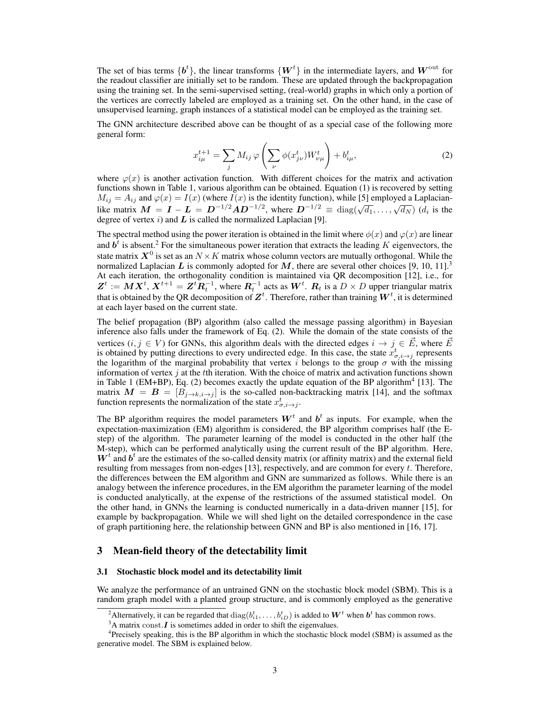The set of bias terms  $\{b^t\}$ , the linear transforms  $\{W^t\}$  in the intermediate layers, and  $W^{\text{out}}$  for the readout classifier are initially set to be random. These are updated through the backpropagation using the training set. In the semi-supervised setting, (real-world) graphs in which only a portion of the vertices are correctly labeled are employed as a training set. On the other hand, in the case of unsupervised learning, graph instances of a statistical model can be employed as the training set.

The GNN architecture described above can be thought of as a special case of the following more general form:

$$
x_{i\mu}^{t+1} = \sum_{j} M_{ij} \varphi \left( \sum_{\nu} \phi(x_{j\nu}^{t}) W_{\nu\mu}^{t} \right) + b_{i\mu}^{t},
$$
 (2)

where  $\varphi(x)$  is another activation function. With different choices for the matrix and activation functions shown in Table 1, various algorithm can be obtained. Equation (1) is recovered by setting  $M_{ij} = A_{ij}$  and  $\varphi(x) = I(x)$  (where  $\overline{I}(x)$  is the identity function), while [5] employed a Laplacianlike matrix  $M = I - L = D^{-1/2}AD^{-1/2}$ , where  $D^{-1/2} \equiv \text{diag}(\sqrt{d_1}, \dots, \sqrt{d_N})$  ( $d_i$  is the degree of vertex *i*) and *L* is called the normalized Laplacian [9].

The spectral method using the power iteration is obtained in the limit where  $\phi(x)$  and  $\varphi(x)$  are linear and  $\vec{b}^t$  is absent.<sup>2</sup> For the simultaneous power iteration that extracts the leading *K* eigenvectors, the state matrix  $X^0$  is set as an  $N \times K$  matrix whose column vectors are mutually orthogonal. While the normalized Laplacian L is commonly adopted for M, there are several other choices [9, 10, 11].<sup>3</sup> At each iteration, the orthogonality condition is maintained via QR decomposition [12], i.e., for  $\boldsymbol{Z}^t := \boldsymbol{M} \boldsymbol{X}^t, \boldsymbol{X}^{t+1} = \boldsymbol{Z}^t \boldsymbol{R}_t^{-1}$ , where  $\boldsymbol{R}_t^{-1}$  acts as  $\boldsymbol{W}^t$ .  $\boldsymbol{R}_t$  is a  $D \times D$  upper triangular matrix that is obtained by the QR decomposition of  $\mathbf{Z}^t$ . Therefore, rather than training  $\mathbf{W}^t$ , it is determined at each layer based on the current state.

The belief propagation (BP) algorithm (also called the message passing algorithm) in Bayesian inference also falls under the framework of Eq. (2). While the domain of the state consists of the vertices  $(i, j \in V)$  for GNNs, this algorithm deals with the directed edges  $i \to j \in \vec{E}$ , where  $\vec{E}$ is obtained by putting directions to every undirected edge. In this case, the state  $x^t_{\sigma,i\to j}$  represents the logarithm of the marginal probability that vertex *i* belongs to the group  $\sigma$  with the missing information of vertex *j* at the *t*th iteration. With the choice of matrix and activation functions shown in Table 1 (EM+BP), Eq. (2) becomes exactly the update equation of the BP algorithm<sup>4</sup> [13]. The matrix  $M = B = [B_{j \to k, i \to j}]$  is the so-called non-backtracking matrix [14], and the softmax function represents the normalization of the state  $x^t_{\sigma,i\to j}$ .

The BP algorithm requires the model parameters  $W<sup>t</sup>$  and  $b<sup>t</sup>$  as inputs. For example, when the expectation-maximization (EM) algorithm is considered, the BP algorithm comprises half (the Estep) of the algorithm. The parameter learning of the model is conducted in the other half (the M-step), which can be performed analytically using the current result of the BP algorithm. Here,  $W<sup>t</sup>$  and  $b<sup>t</sup>$  are the estimates of the so-called density matrix (or affinity matrix) and the external field resulting from messages from non-edges [13], respectively, and are common for every *t*. Therefore, the differences between the EM algorithm and GNN are summarized as follows. While there is an analogy between the inference procedures, in the EM algorithm the parameter learning of the model is conducted analytically, at the expense of the restrictions of the assumed statistical model. On the other hand, in GNNs the learning is conducted numerically in a data-driven manner [15], for example by backpropagation. While we will shed light on the detailed correspondence in the case of graph partitioning here, the relationship between GNN and BP is also mentioned in [16, 17].

#### 3 Mean-field theory of the detectability limit

#### 3.1 Stochastic block model and its detectability limit

We analyze the performance of an untrained GNN on the stochastic block model (SBM). This is a random graph model with a planted group structure, and is commonly employed as the generative

<sup>&</sup>lt;sup>2</sup>Alternatively, it can be regarded that  $diag(b_{i1}^t, \ldots, b_{iD}^t)$  is added to  $\boldsymbol{W}^t$  when  $\boldsymbol{b}^t$  has common rows.

 $3A$  matrix const.*I* is sometimes added in order to shift the eigenvalues.

<sup>&</sup>lt;sup>4</sup>Precisely speaking, this is the BP algorithm in which the stochastic block model (SBM) is assumed as the generative model. The SBM is explained below.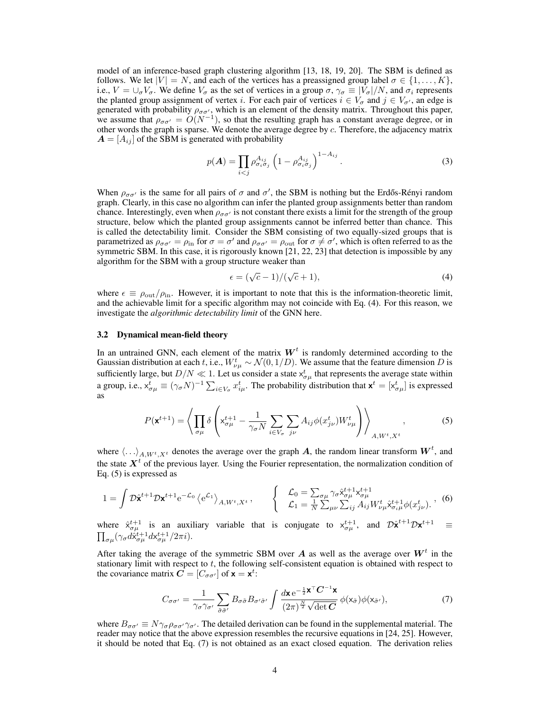model of an inference-based graph clustering algorithm [13, 18, 19, 20]. The SBM is defined as follows. We let  $|V| = N$ , and each of the vertices has a preassigned group label  $\sigma \in \{1, \ldots, K\}$ , i.e.,  $V = \bigcup_{\sigma} V_{\sigma}$ . We define  $V_{\sigma}$  as the set of vertices in a group  $\sigma$ ,  $\gamma_{\sigma} \equiv |V_{\sigma}|/N$ , and  $\sigma_i$  represents the planted group assignment of vertex *i*. For each pair of vertices  $i \in V_{\sigma}$  and  $j \in V_{\sigma'}$ , an edge is generated with probability  $\rho_{\sigma\sigma'}$ , which is an element of the density matrix. Throughout this paper, we assume that  $\rho_{\sigma\sigma'} = O(N^{-1})$ , so that the resulting graph has a constant average degree, or in other words the graph is sparse. We denote the average degree by *c*. Therefore, the adjacency matrix  $A = [A_{ij}]$  of the SBM is generated with probability

$$
p(\boldsymbol{A}) = \prod_{i < j} \rho_{\sigma_i \sigma_j}^{A_{ij}} \left( 1 - \rho_{\sigma_i \sigma_j}^{A_{ij}} \right)^{1 - A_{ij}}.
$$
\n<sup>(3)</sup>

When  $\rho_{\sigma\sigma'}$  is the same for all pairs of  $\sigma$  and  $\sigma'$ , the SBM is nothing but the Erdős-Rényi random graph. Clearly, in this case no algorithm can infer the planted group assignments better than random chance. Interestingly, even when  $\rho_{\sigma\sigma'}$  is not constant there exists a limit for the strength of the group structure, below which the planted group assignments cannot be inferred better than chance. This is called the detectability limit. Consider the SBM consisting of two equally-sized groups that is parametrized as  $\rho_{\sigma\sigma'} = \rho_{\rm in}$  for  $\sigma = \sigma'$  and  $\rho_{\sigma\sigma'} = \rho_{\rm out}$  for  $\sigma \neq \sigma'$ , which is often referred to as the symmetric SBM. In this case, it is rigorously known [21, 22, 23] that detection is impossible by any algorithm for the SBM with a group structure weaker than

$$
\epsilon = (\sqrt{c} - 1)/(\sqrt{c} + 1),\tag{4}
$$

where  $\epsilon \equiv \rho_{\rm out}/\rho_{\rm in}$ . However, it is important to note that this is the information-theoretic limit, and the achievable limit for a specific algorithm may not coincide with Eq. (4). For this reason, we investigate the *algorithmic detectability limit* of the GNN here.

#### 3.2 Dynamical mean-field theory

In an untrained GNN, each element of the matrix  $W<sup>t</sup>$  is randomly determined according to the Gaussian distribution at each *t*, i.e.,  $W_{\nu\mu}^t \sim \mathcal{N}(0, 1/D)$ . We assume that the feature dimension *D* is sufficiently large, but  $D/N \ll 1$ . Let us consider a state  $x_{\sigma\mu}^t$  that represents the average state within a group, i.e.,  $x_{\sigma\mu}^t \equiv (\gamma_\sigma N)^{-1} \sum_{i \in V_\sigma} x_{i\mu}^t$ . The probability distribution that  $\mathbf{x}^t = [x_{\sigma\mu}^t]$  is expressed as

$$
P(\mathbf{x}^{t+1}) = \left\langle \prod_{\sigma\mu} \delta \left( \mathbf{x}_{\sigma\mu}^{t+1} - \frac{1}{\gamma_{\sigma} N} \sum_{i \in V_{\sigma}} \sum_{j\nu} A_{ij} \phi(x_{j\nu}^t) W_{\nu\mu}^t \right) \right\rangle_{A, W^t, X^t}, \tag{5}
$$

where  $\langle \ldots \rangle_{A, W^t, X^t}$  denotes the average over the graph *A*, the random linear transform  $W^t$ , and the state  $X<sup>t</sup>$  of the previous layer. Using the Fourier representation, the normalization condition of Eq. (5) is expressed as

$$
1 = \int \mathcal{D}\hat{\mathbf{x}}^{t+1} \mathcal{D}\mathbf{x}^{t+1} e^{-\mathcal{L}_0} \left\langle e^{\mathcal{L}_1} \right\rangle_{A, W^t, X^t}, \qquad \begin{cases} \mathcal{L}_0 = \sum_{\sigma \mu} \gamma_{\sigma} \hat{\mathbf{x}}_{\sigma \mu}^{t+1} \mathbf{x}_{\sigma \mu}^{t+1} \\ \mathcal{L}_1 = \frac{1}{N} \sum_{\mu \nu} \sum_{ij} A_{ij} W_{\nu \mu}^t \hat{\mathbf{x}}_{\sigma_i \mu}^{t+1} \phi(x_{j\nu}^t). \end{cases} (6)
$$

where  $\hat{x}_{\sigma\mu}^{t+1}$  is an auxiliary variable that is conjugate to  $x_{\sigma\mu}^{t+1}$ , and  $\mathcal{D}\hat{x}^{t+1}\mathcal{D}x^{t+1} \equiv$  $\prod_{\sigma\mu}(\gamma_{\sigma}d\hat{\mathsf{x}}_{\sigma\mu}^{t+1}d\mathsf{x}_{\sigma\mu}^{t+1}/2\pi i).$ 

After taking the average of the symmetric SBM over  $A$  as well as the average over  $W<sup>t</sup>$  in the stationary limit with respect to *t*, the following self-consistent equation is obtained with respect to the covariance matrix  $\mathbf{C} = [C_{\sigma \sigma'}]$  of  $\mathbf{x} = \mathbf{x}^t$ :

$$
C_{\sigma\sigma'} = \frac{1}{\gamma_{\sigma}\gamma_{\sigma'}} \sum_{\tilde{\sigma}\tilde{\sigma}'} B_{\sigma\tilde{\sigma}} B_{\sigma'\tilde{\sigma}'} \int \frac{d\mathbf{x} e^{-\frac{1}{2}\mathbf{x}^{\top} \mathbf{C}^{-1} \mathbf{x}}}{(2\pi)^{\frac{N}{2}} \sqrt{\det \mathbf{C}}} \phi(\mathbf{x}_{\tilde{\sigma}}) \phi(\mathbf{x}_{\tilde{\sigma}'}), \tag{7}
$$

where  $B_{\sigma\sigma'} \equiv N\gamma_{\sigma}\rho_{\sigma\sigma'}\gamma_{\sigma'}$ . The detailed derivation can be found in the supplemental material. The reader may notice that the above expression resembles the recursive equations in [24, 25]. However, it should be noted that Eq. (7) is not obtained as an exact closed equation. The derivation relies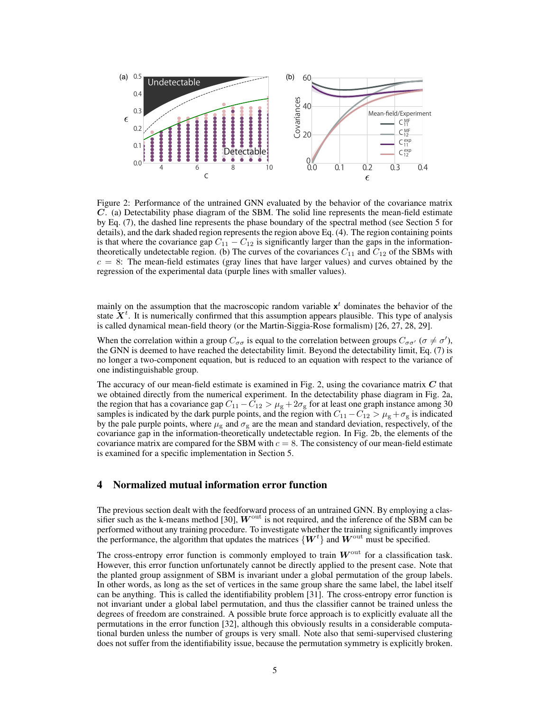

Figure 2: Performance of the untrained GNN evaluated by the behavior of the covariance matrix *C*. (a) Detectability phase diagram of the SBM. The solid line represents the mean-field estimate by Eq. (7), the dashed line represents the phase boundary of the spectral method (see Section 5 for details), and the dark shaded region represents the region above Eq. (4). The region containing points is that where the covariance gap  $C_{11} - C_{12}$  is significantly larger than the gaps in the informationtheoretically undetectable region. (b) The curves of the covariances  $C_{11}$  and  $C_{12}$  of the SBMs with  $c = 8$ : The mean-field estimates (gray lines that have larger values) and curves obtained by the regression of the experimental data (purple lines with smaller values).

mainly on the assumption that the macroscopic random variable  $x^t$  dominates the behavior of the state  $X<sup>t</sup>$ . It is numerically confirmed that this assumption appears plausible. This type of analysis is called dynamical mean-field theory (or the Martin-Siggia-Rose formalism) [26, 27, 28, 29].

When the correlation within a group  $C_{\sigma\sigma}$  is equal to the correlation between groups  $C_{\sigma\sigma'}$  ( $\sigma \neq \sigma'$ ), the GNN is deemed to have reached the detectability limit. Beyond the detectability limit, Eq. (7) is no longer a two-component equation, but is reduced to an equation with respect to the variance of one indistinguishable group.

The accuracy of our mean-field estimate is examined in Fig. 2, using the covariance matrix *C* that we obtained directly from the numerical experiment. In the detectability phase diagram in Fig. 2a, the region that has a covariance gap  $C_{11} - C_{12} > \mu_{\rm g} + 2\sigma_{\rm g}$  for at least one graph instance among 30 samples is indicated by the dark purple points, and the region with  $C_{11} - C_{12} > \mu_{\rm g} + \sigma_{\rm g}$  is indicated by the pale purple points, where  $\mu_{\rm g}$  and  $\sigma_{\rm g}$  are the mean and standard deviation, respectively, of the covariance gap in the information-theoretically undetectable region. In Fig. 2b, the elements of the covariance matrix are compared for the SBM with  $c = 8$ . The consistency of our mean-field estimate is examined for a specific implementation in Section 5.

## 4 Normalized mutual information error function

The previous section dealt with the feedforward process of an untrained GNN. By employing a classifier such as the k-means method [30],  $W<sup>out</sup>$  is not required, and the inference of the SBM can be performed without any training procedure. To investigate whether the training significantly improves the performance, the algorithm that updates the matrices  $\{W^t\}$  and  $W^{\text{out}}$  must be specified.

The cross-entropy error function is commonly employed to train  $W<sup>out</sup>$  for a classification task. However, this error function unfortunately cannot be directly applied to the present case. Note that the planted group assignment of SBM is invariant under a global permutation of the group labels. In other words, as long as the set of vertices in the same group share the same label, the label itself can be anything. This is called the identifiability problem [31]. The cross-entropy error function is not invariant under a global label permutation, and thus the classifier cannot be trained unless the degrees of freedom are constrained. A possible brute force approach is to explicitly evaluate all the permutations in the error function [32], although this obviously results in a considerable computational burden unless the number of groups is very small. Note also that semi-supervised clustering does not suffer from the identifiability issue, because the permutation symmetry is explicitly broken.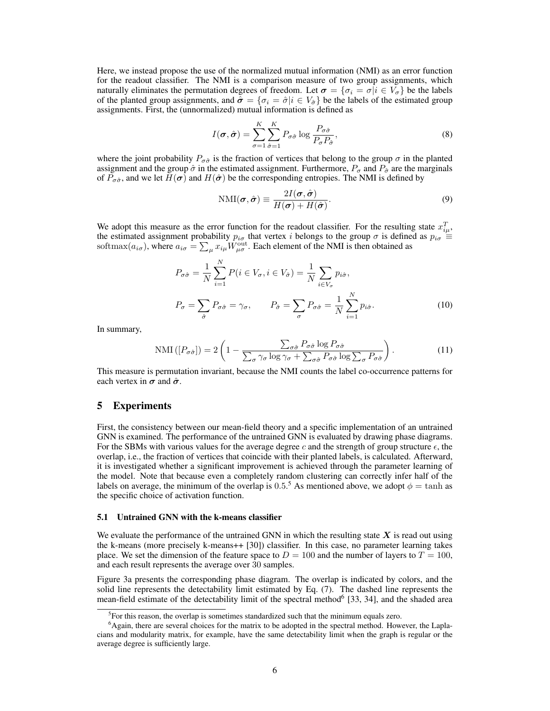Here, we instead propose the use of the normalized mutual information (NMI) as an error function for the readout classifier. The NMI is a comparison measure of two group assignments, which naturally eliminates the permutation degrees of freedom. Let  $\sigma = {\sigma_i = \sigma | i \in V_{\sigma}}$  be the labels of the planted group assignments, and  $\hat{\sigma} = {\sigma_i = \hat{\sigma} | i \in V_{\hat{\sigma}}}$  be the labels of the estimated group assignments. First, the (unnormalized) mutual information is defined as

$$
I(\boldsymbol{\sigma}, \hat{\boldsymbol{\sigma}}) = \sum_{\sigma=1}^{K} \sum_{\hat{\sigma}=1}^{K} P_{\sigma \hat{\sigma}} \log \frac{P_{\sigma \hat{\sigma}}}{P_{\sigma} P_{\hat{\sigma}}},
$$
(8)

where the joint probability  $P_{\sigma \hat{\sigma}}$  is the fraction of vertices that belong to the group  $\sigma$  in the planted assignment and the group  $\hat{\sigma}$  in the estimated assignment. Furthermore,  $P_{\sigma}$  and  $P_{\hat{\sigma}}$  are the marginals of  $P_{\sigma\hat{\sigma}}$ , and we let  $H(\sigma)$  and  $H(\hat{\sigma})$  be the corresponding entropies. The NMI is defined by

$$
NMI(\boldsymbol{\sigma}, \hat{\boldsymbol{\sigma}}) \equiv \frac{2I(\boldsymbol{\sigma}, \hat{\boldsymbol{\sigma}})}{H(\boldsymbol{\sigma}) + H(\hat{\boldsymbol{\sigma}})}.
$$
\n(9)

We adopt this measure as the error function for the readout classifier. For the resulting state  $x_{i\mu}^T$ , the estimated assignment probability  $p_{i\sigma}$  that vertex *i* belongs to the group  $\sigma$  is defined as  $p_{i\sigma} \equiv$ softmax $(a_{i\sigma})$ , where  $a_{i\sigma} = \sum_{\mu} x_{i\mu} W_{\mu\sigma}^{\text{out}}$ . Each element of the NMI is then obtained as

$$
P_{\sigma\hat{\sigma}} = \frac{1}{N} \sum_{i=1}^{N} P(i \in V_{\sigma}, i \in V_{\hat{\sigma}}) = \frac{1}{N} \sum_{i \in V_{\sigma}} p_{i\hat{\sigma}},
$$
  

$$
P_{\sigma} = \sum_{\hat{\sigma}} P_{\sigma\hat{\sigma}} = \gamma_{\sigma}, \qquad P_{\hat{\sigma}} = \sum_{\sigma} P_{\sigma\hat{\sigma}} = \frac{1}{N} \sum_{i=1}^{N} p_{i\hat{\sigma}}.
$$
 (10)

In summary,

$$
\text{NMI}\left(\left[P_{\sigma\hat{\sigma}}\right]\right) = 2\left(1 - \frac{\sum_{\sigma\hat{\sigma}} P_{\sigma\hat{\sigma}} \log P_{\sigma\hat{\sigma}}}{\sum_{\sigma} \gamma_{\sigma} \log \gamma_{\sigma} + \sum_{\sigma\hat{\sigma}} P_{\sigma\hat{\sigma}} \log \sum_{\sigma} P_{\sigma\hat{\sigma}}}\right). \tag{11}
$$

This measure is permutation invariant, because the NMI counts the label co-occurrence patterns for each vertex in  $\sigma$  and  $\hat{\sigma}$ .

## 5 Experiments

First, the consistency between our mean-field theory and a specific implementation of an untrained GNN is examined. The performance of the untrained GNN is evaluated by drawing phase diagrams. For the SBMs with various values for the average degree c and the strength of group structure  $\epsilon$ , the overlap, i.e., the fraction of vertices that coincide with their planted labels, is calculated. Afterward, it is investigated whether a significant improvement is achieved through the parameter learning of the model. Note that because even a completely random clustering can correctly infer half of the labels on average, the minimum of the overlap is  $0.5$ .<sup>5</sup> As mentioned above, we adopt  $\phi = \tanh$  as the specific choice of activation function.

### 5.1 Untrained GNN with the k-means classifier

We evaluate the performance of the untrained GNN in which the resulting state  $\boldsymbol{X}$  is read out using the k-means (more precisely k-means++ [30]) classifier. In this case, no parameter learning takes place. We set the dimension of the feature space to  $D = 100$  and the number of layers to  $T = 100$ , and each result represents the average over 30 samples.

Figure 3a presents the corresponding phase diagram. The overlap is indicated by colors, and the solid line represents the detectability limit estimated by Eq. (7). The dashed line represents the mean-field estimate of the detectability limit of the spectral method<sup>6</sup> [33, 34], and the shaded area

<sup>&</sup>lt;sup>5</sup>For this reason, the overlap is sometimes standardized such that the minimum equals zero.

<sup>&</sup>lt;sup>6</sup>Again, there are several choices for the matrix to be adopted in the spectral method. However, the Laplacians and modularity matrix, for example, have the same detectability limit when the graph is regular or the average degree is sufficiently large.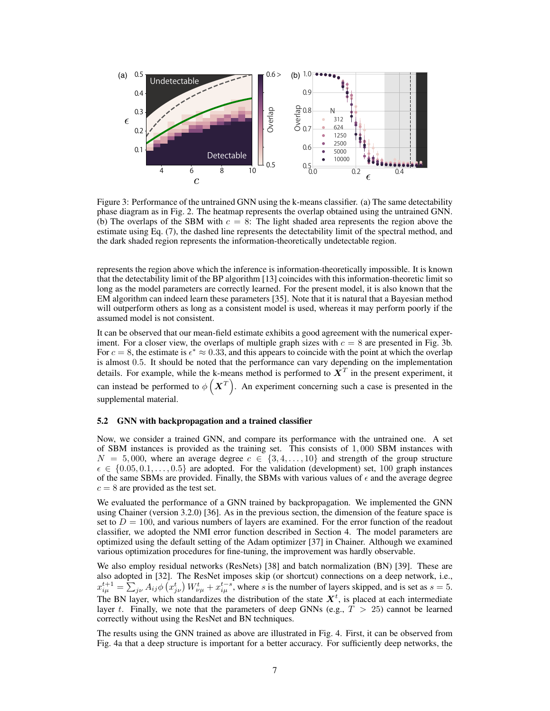

Figure 3: Performance of the untrained GNN using the k-means classifier. (a) The same detectability phase diagram as in Fig. 2. The heatmap represents the overlap obtained using the untrained GNN. (b) The overlaps of the SBM with  $c = 8$ : The light shaded area represents the region above the estimate using Eq. (7), the dashed line represents the detectability limit of the spectral method, and the dark shaded region represents the information-theoretically undetectable region.

represents the region above which the inference is information-theoretically impossible. It is known that the detectability limit of the BP algorithm [13] coincides with this information-theoretic limit so long as the model parameters are correctly learned. For the present model, it is also known that the EM algorithm can indeed learn these parameters [35]. Note that it is natural that a Bayesian method will outperform others as long as a consistent model is used, whereas it may perform poorly if the assumed model is not consistent.

It can be observed that our mean-field estimate exhibits a good agreement with the numerical experiment. For a closer view, the overlaps of multiple graph sizes with  $c = 8$  are presented in Fig. 3b. For  $c = 8$ , the estimate is  $\epsilon^* \approx 0.33$ , and this appears to coincide with the point at which the overlap is almost 0*.*5. It should be noted that the performance can vary depending on the implementation details. For example, while the k-means method is performed to  $X<sup>T</sup>$  in the present experiment, it can instead be performed to  $\phi\left(\boldsymbol{X}^{T}\right)$ . An experiment concerning such a case is presented in the supplemental material.

#### 5.2 GNN with backpropagation and a trained classifier

Now, we consider a trained GNN, and compare its performance with the untrained one. A set of SBM instances is provided as the training set. This consists of 1*,* 000 SBM instances with  $N = 5,000$ , where an average degree  $c \in \{3, 4, \ldots, 10\}$  and strength of the group structure *ϵ ∈ {*0*.*05*,* 0*.*1*, . . . ,* 0*.*5*}* are adopted. For the validation (development) set, 100 graph instances of the same SBMs are provided. Finally, the SBMs with various values of  $\epsilon$  and the average degree  $c = 8$  are provided as the test set.

We evaluated the performance of a GNN trained by backpropagation. We implemented the GNN using Chainer (version 3.2.0) [36]. As in the previous section, the dimension of the feature space is set to  $D = 100$ , and various numbers of layers are examined. For the error function of the readout classifier, we adopted the NMI error function described in Section 4. The model parameters are optimized using the default setting of the Adam optimizer [37] in Chainer. Although we examined various optimization procedures for fine-tuning, the improvement was hardly observable.

We also employ residual networks (ResNets) [38] and batch normalization (BN) [39]. These are also adopted in [32]. The ResNet imposes skip (or shortcut) connections on a deep network, i.e.,  $x_{i\mu}^{t+1} = \sum_{j\nu} A_{ij} \phi(x_{j\nu}^t) W_{\nu\mu}^t + x_{i\mu}^{t-s}$ , where s is the number of layers skipped, and is set as  $s = 5$ . The BN layer, which standardizes the distribution of the state  $X<sup>t</sup>$ , is placed at each intermediate layer *t*. Finally, we note that the parameters of deep GNNs (e.g., *T >* 25) cannot be learned correctly without using the ResNet and BN techniques.

The results using the GNN trained as above are illustrated in Fig. 4. First, it can be observed from Fig. 4a that a deep structure is important for a better accuracy. For sufficiently deep networks, the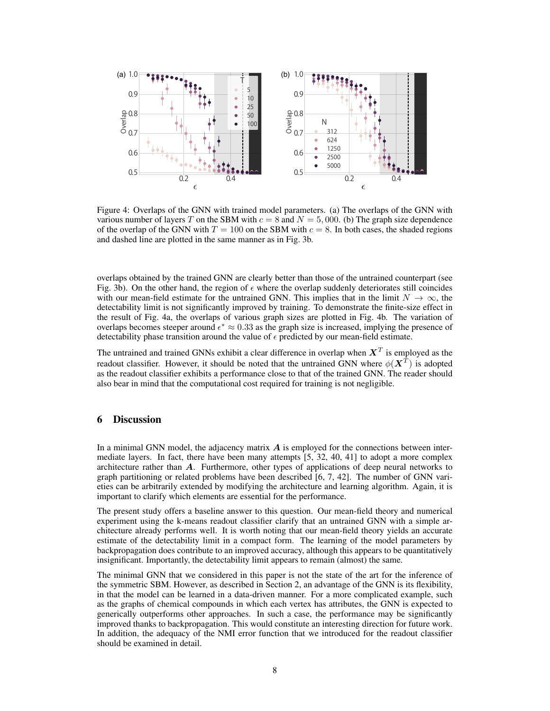

Figure 4: Overlaps of the GNN with trained model parameters. (a) The overlaps of the GNN with various number of layers *T* on the SBM with  $c = 8$  and  $N = 5,000$ . (b) The graph size dependence of the overlap of the GNN with  $T = 100$  on the SBM with  $c = 8$ . In both cases, the shaded regions and dashed line are plotted in the same manner as in Fig. 3b.

overlaps obtained by the trained GNN are clearly better than those of the untrained counterpart (see Fig. 3b). On the other hand, the region of  $\epsilon$  where the overlap suddenly deteriorates still coincides with our mean-field estimate for the untrained GNN. This implies that in the limit  $N \to \infty$ , the detectability limit is not significantly improved by training. To demonstrate the finite-size effect in the result of Fig. 4a, the overlaps of various graph sizes are plotted in Fig. 4b. The variation of overlaps becomes steeper around *ϵ <sup>∗</sup> ≈* 0*.*33 as the graph size is increased, implying the presence of detectability phase transition around the value of  $\epsilon$  predicted by our mean-field estimate.

The untrained and trained GNNs exhibit a clear difference in overlap when  $X^T$  is employed as the readout classifier. However, it should be noted that the untrained GNN where  $\phi(\boldsymbol{X}^T)$  is adopted as the readout classifier exhibits a performance close to that of the trained GNN. The reader should also bear in mind that the computational cost required for training is not negligible.

## 6 Discussion

In a minimal GNN model, the adjacency matrix *A* is employed for the connections between intermediate layers. In fact, there have been many attempts [5, 32, 40, 41] to adopt a more complex architecture rather than *A*. Furthermore, other types of applications of deep neural networks to graph partitioning or related problems have been described [6, 7, 42]. The number of GNN varieties can be arbitrarily extended by modifying the architecture and learning algorithm. Again, it is important to clarify which elements are essential for the performance.

The present study offers a baseline answer to this question. Our mean-field theory and numerical experiment using the k-means readout classifier clarify that an untrained GNN with a simple architecture already performs well. It is worth noting that our mean-field theory yields an accurate estimate of the detectability limit in a compact form. The learning of the model parameters by backpropagation does contribute to an improved accuracy, although this appears to be quantitatively insignificant. Importantly, the detectability limit appears to remain (almost) the same.

The minimal GNN that we considered in this paper is not the state of the art for the inference of the symmetric SBM. However, as described in Section 2, an advantage of the GNN is its flexibility, in that the model can be learned in a data-driven manner. For a more complicated example, such as the graphs of chemical compounds in which each vertex has attributes, the GNN is expected to generically outperforms other approaches. In such a case, the performance may be significantly improved thanks to backpropagation. This would constitute an interesting direction for future work. In addition, the adequacy of the NMI error function that we introduced for the readout classifier should be examined in detail.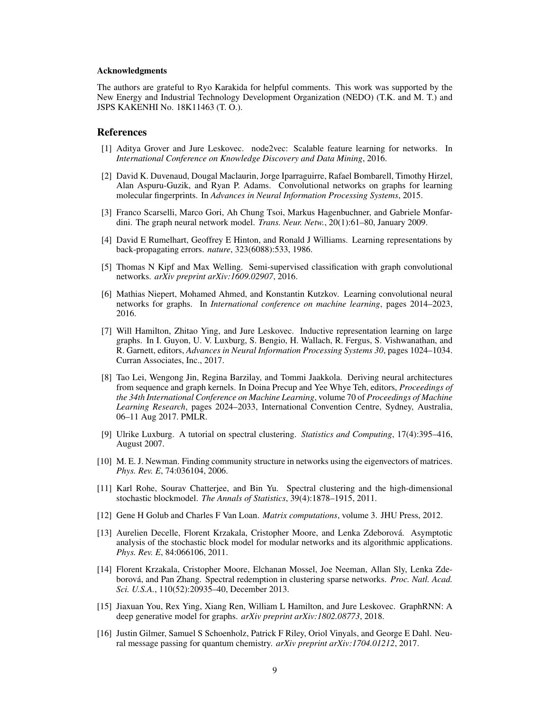#### Acknowledgments

The authors are grateful to Ryo Karakida for helpful comments. This work was supported by the New Energy and Industrial Technology Development Organization (NEDO) (T.K. and M. T.) and JSPS KAKENHI No. 18K11463 (T. O.).

## References

- [1] Aditya Grover and Jure Leskovec. node2vec: Scalable feature learning for networks. In *International Conference on Knowledge Discovery and Data Mining*, 2016.
- [2] David K. Duvenaud, Dougal Maclaurin, Jorge Iparraguirre, Rafael Bombarell, Timothy Hirzel, Alan Aspuru-Guzik, and Ryan P. Adams. Convolutional networks on graphs for learning molecular fingerprints. In *Advances in Neural Information Processing Systems*, 2015.
- [3] Franco Scarselli, Marco Gori, Ah Chung Tsoi, Markus Hagenbuchner, and Gabriele Monfardini. The graph neural network model. *Trans. Neur. Netw.*, 20(1):61–80, January 2009.
- [4] David E Rumelhart, Geoffrey E Hinton, and Ronald J Williams. Learning representations by back-propagating errors. *nature*, 323(6088):533, 1986.
- [5] Thomas N Kipf and Max Welling. Semi-supervised classification with graph convolutional networks. *arXiv preprint arXiv:1609.02907*, 2016.
- [6] Mathias Niepert, Mohamed Ahmed, and Konstantin Kutzkov. Learning convolutional neural networks for graphs. In *International conference on machine learning*, pages 2014–2023, 2016.
- [7] Will Hamilton, Zhitao Ying, and Jure Leskovec. Inductive representation learning on large graphs. In I. Guyon, U. V. Luxburg, S. Bengio, H. Wallach, R. Fergus, S. Vishwanathan, and R. Garnett, editors, *Advances in Neural Information Processing Systems 30*, pages 1024–1034. Curran Associates, Inc., 2017.
- [8] Tao Lei, Wengong Jin, Regina Barzilay, and Tommi Jaakkola. Deriving neural architectures from sequence and graph kernels. In Doina Precup and Yee Whye Teh, editors, *Proceedings of the 34th International Conference on Machine Learning*, volume 70 of *Proceedings of Machine Learning Research*, pages 2024–2033, International Convention Centre, Sydney, Australia, 06–11 Aug 2017. PMLR.
- [9] Ulrike Luxburg. A tutorial on spectral clustering. *Statistics and Computing*, 17(4):395–416, August 2007.
- [10] M. E. J. Newman. Finding community structure in networks using the eigenvectors of matrices. *Phys. Rev. E*, 74:036104, 2006.
- [11] Karl Rohe, Sourav Chatterjee, and Bin Yu. Spectral clustering and the high-dimensional stochastic blockmodel. *The Annals of Statistics*, 39(4):1878–1915, 2011.
- [12] Gene H Golub and Charles F Van Loan. *Matrix computations*, volume 3. JHU Press, 2012.
- [13] Aurelien Decelle, Florent Krzakala, Cristopher Moore, and Lenka Zdeborová. Asymptotic analysis of the stochastic block model for modular networks and its algorithmic applications. *Phys. Rev. E*, 84:066106, 2011.
- [14] Florent Krzakala, Cristopher Moore, Elchanan Mossel, Joe Neeman, Allan Sly, Lenka Zdeborová, and Pan Zhang. Spectral redemption in clustering sparse networks. *Proc. Natl. Acad. Sci. U.S.A.*, 110(52):20935–40, December 2013.
- [15] Jiaxuan You, Rex Ying, Xiang Ren, William L Hamilton, and Jure Leskovec. GraphRNN: A deep generative model for graphs. *arXiv preprint arXiv:1802.08773*, 2018.
- [16] Justin Gilmer, Samuel S Schoenholz, Patrick F Riley, Oriol Vinyals, and George E Dahl. Neural message passing for quantum chemistry. *arXiv preprint arXiv:1704.01212*, 2017.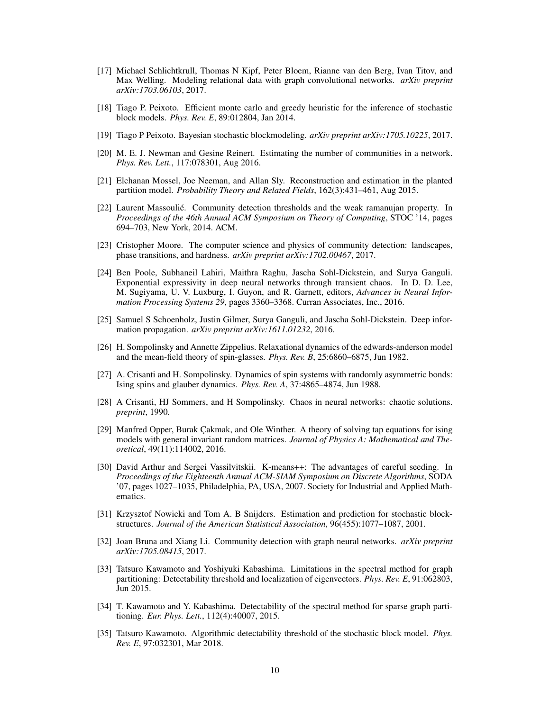- [17] Michael Schlichtkrull, Thomas N Kipf, Peter Bloem, Rianne van den Berg, Ivan Titov, and Max Welling. Modeling relational data with graph convolutional networks. *arXiv preprint arXiv:1703.06103*, 2017.
- [18] Tiago P. Peixoto. Efficient monte carlo and greedy heuristic for the inference of stochastic block models. *Phys. Rev. E*, 89:012804, Jan 2014.
- [19] Tiago P Peixoto. Bayesian stochastic blockmodeling. *arXiv preprint arXiv:1705.10225*, 2017.
- [20] M. E. J. Newman and Gesine Reinert. Estimating the number of communities in a network. *Phys. Rev. Lett.*, 117:078301, Aug 2016.
- [21] Elchanan Mossel, Joe Neeman, and Allan Sly. Reconstruction and estimation in the planted partition model. *Probability Theory and Related Fields*, 162(3):431–461, Aug 2015.
- [22] Laurent Massoulié. Community detection thresholds and the weak ramanujan property. In *Proceedings of the 46th Annual ACM Symposium on Theory of Computing*, STOC '14, pages 694–703, New York, 2014. ACM.
- [23] Cristopher Moore. The computer science and physics of community detection: landscapes, phase transitions, and hardness. *arXiv preprint arXiv:1702.00467*, 2017.
- [24] Ben Poole, Subhaneil Lahiri, Maithra Raghu, Jascha Sohl-Dickstein, and Surya Ganguli. Exponential expressivity in deep neural networks through transient chaos. In D. D. Lee, M. Sugiyama, U. V. Luxburg, I. Guyon, and R. Garnett, editors, *Advances in Neural Information Processing Systems 29*, pages 3360–3368. Curran Associates, Inc., 2016.
- [25] Samuel S Schoenholz, Justin Gilmer, Surya Ganguli, and Jascha Sohl-Dickstein. Deep information propagation. *arXiv preprint arXiv:1611.01232*, 2016.
- [26] H. Sompolinsky and Annette Zippelius. Relaxational dynamics of the edwards-anderson model and the mean-field theory of spin-glasses. *Phys. Rev. B*, 25:6860–6875, Jun 1982.
- [27] A. Crisanti and H. Sompolinsky. Dynamics of spin systems with randomly asymmetric bonds: Ising spins and glauber dynamics. *Phys. Rev. A*, 37:4865–4874, Jun 1988.
- [28] A Crisanti, HJ Sommers, and H Sompolinsky. Chaos in neural networks: chaotic solutions. *preprint*, 1990.
- [29] Manfred Opper, Burak Çakmak, and Ole Winther. A theory of solving tap equations for ising models with general invariant random matrices. *Journal of Physics A: Mathematical and Theoretical*, 49(11):114002, 2016.
- [30] David Arthur and Sergei Vassilvitskii. K-means++: The advantages of careful seeding. In *Proceedings of the Eighteenth Annual ACM-SIAM Symposium on Discrete Algorithms*, SODA '07, pages 1027–1035, Philadelphia, PA, USA, 2007. Society for Industrial and Applied Mathematics.
- [31] Krzysztof Nowicki and Tom A. B Snijders. Estimation and prediction for stochastic blockstructures. *Journal of the American Statistical Association*, 96(455):1077–1087, 2001.
- [32] Joan Bruna and Xiang Li. Community detection with graph neural networks. *arXiv preprint arXiv:1705.08415*, 2017.
- [33] Tatsuro Kawamoto and Yoshiyuki Kabashima. Limitations in the spectral method for graph partitioning: Detectability threshold and localization of eigenvectors. *Phys. Rev. E*, 91:062803, Jun 2015.
- [34] T. Kawamoto and Y. Kabashima. Detectability of the spectral method for sparse graph partitioning. *Eur. Phys. Lett.*, 112(4):40007, 2015.
- [35] Tatsuro Kawamoto. Algorithmic detectability threshold of the stochastic block model. *Phys. Rev. E*, 97:032301, Mar 2018.